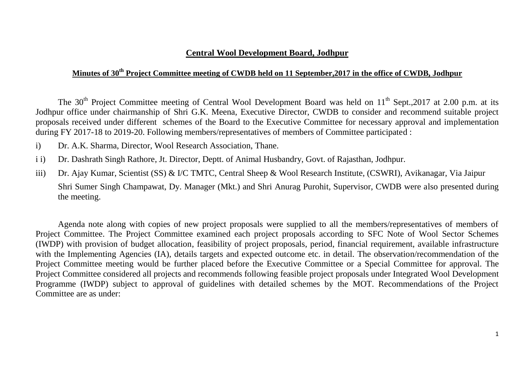### **Central Wool Development Board, Jodhpur**

## **Minutes of 30th Project Committee meeting of CWDB held on 11 September,2017 in the office of CWDB, Jodhpur**

The 30<sup>th</sup> Project Committee meeting of Central Wool Development Board was held on  $11<sup>th</sup>$  Sept., 2017 at 2.00 p.m. at its Jodhpur office under chairmanship of Shri G.K. Meena, Executive Director, CWDB to consider and recommend suitable project proposals received under different schemes of the Board to the Executive Committee for necessary approval and implementation during FY 2017-18 to 2019-20. Following members/representatives of members of Committee participated :

- i) Dr. A.K. Sharma, Director, Wool Research Association, Thane.
- i i) Dr. Dashrath Singh Rathore, Jt. Director, Deptt. of Animal Husbandry, Govt. of Rajasthan, Jodhpur.
- iii) Dr. Ajay Kumar, Scientist (SS) & I/C TMTC, Central Sheep & Wool Research Institute, (CSWRI), Avikanagar, Via Jaipur Shri Sumer Singh Champawat, Dy. Manager (Mkt.) and Shri Anurag Purohit, Supervisor, CWDB were also presented during the meeting.

Agenda note along with copies of new project proposals were supplied to all the members/representatives of members of Project Committee. The Project Committee examined each project proposals according to SFC Note of Wool Sector Schemes (IWDP) with provision of budget allocation, feasibility of project proposals, period, financial requirement, available infrastructure with the Implementing Agencies (IA), details targets and expected outcome etc. in detail. The observation/recommendation of the Project Committee meeting would be further placed before the Executive Committee or a Special Committee for approval. The Project Committee considered all projects and recommends following feasible project proposals under Integrated Wool Development Programme (IWDP) subject to approval of guidelines with detailed schemes by the MOT. Recommendations of the Project Committee are as under: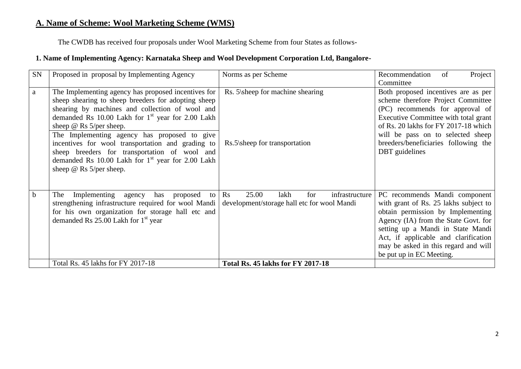# **A. Name of Scheme: Wool Marketing Scheme (WMS)**

The CWDB has received four proposals under Wool Marketing Scheme from four States as follows-

#### **1. Name of Implementing Agency: Karnataka Sheep and Wool Development Corporation Ltd, Bangalore-**

| SN           | Proposed in proposal by Implementing Agency                                                                                                                                                                                                                                                                                                                                                                                                                                                    | Norms as per Scheme                                                                                     | Project<br>Recommendation<br>of<br>Committee                                                                                                                                                                                                                                                         |
|--------------|------------------------------------------------------------------------------------------------------------------------------------------------------------------------------------------------------------------------------------------------------------------------------------------------------------------------------------------------------------------------------------------------------------------------------------------------------------------------------------------------|---------------------------------------------------------------------------------------------------------|------------------------------------------------------------------------------------------------------------------------------------------------------------------------------------------------------------------------------------------------------------------------------------------------------|
| $\mathbf{a}$ | The Implementing agency has proposed incentives for<br>sheep shearing to sheep breeders for adopting sheep<br>shearing by machines and collection of wool and<br>demanded Rs 10.00 Lakh for $1st$ year for 2.00 Lakh<br>sheep $\omega$ Rs 5/per sheep.<br>The Implementing agency has proposed to give<br>incentives for wool transportation and grading to<br>sheep breeders for transportation of wool and<br>demanded Rs 10.00 Lakh for $1st$ year for 2.00 Lakh<br>sheep @ Rs 5/per sheep. | Rs. 5\sheep for machine shearing<br>Rs.5\sheep for transportation                                       | Both proposed incentives are as per<br>scheme therefore Project Committee<br>(PC) recommends for approval of<br>Executive Committee with total grant<br>of Rs. 20 lakhs for FY 2017-18 which<br>will be pass on to selected sheep<br>breeders/beneficiaries following the<br>DBT guidelines          |
| $\mathbf b$  | Implementing agency<br>has proposed<br>The<br>to<br>strengthening infrastructure required for wool Mandi<br>for his own organization for storage hall etc and<br>demanded Rs 25.00 Lakh for 1 <sup>st</sup> year                                                                                                                                                                                                                                                                               | infrastructure<br>25.00<br>for<br>$\mathbf{R}$ s<br>lakh<br>development/storage hall etc for wool Mandi | PC recommends Mandi component<br>with grant of Rs. 25 lakhs subject to<br>obtain permission by Implementing<br>Agency (IA) from the State Govt. for<br>setting up a Mandi in State Mandi<br>Act, if applicable and clarification<br>may be asked in this regard and will<br>be put up in EC Meeting. |
|              | Total Rs. 45 lakhs for FY 2017-18                                                                                                                                                                                                                                                                                                                                                                                                                                                              | <b>Total Rs. 45 lakhs for FY 2017-18</b>                                                                |                                                                                                                                                                                                                                                                                                      |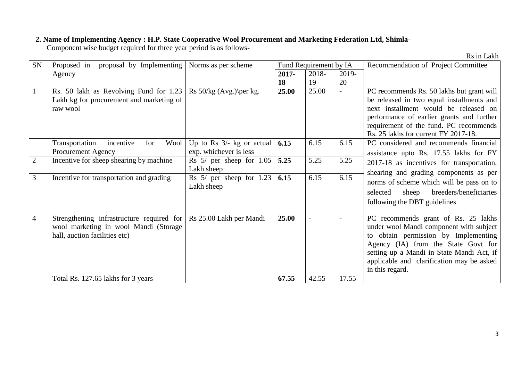#### **2. Name of Implementing Agency : H.P. State Cooperative Wool Procurement and Marketing Federation Ltd, Shimla-**

Component wise budget required for three year period is as follows-

Rs in Lakh

| SN             | Proposed in<br>proposal by Implementing                                                                             | Norms as per scheme                                   |          | Fund Requirement by IA |       | Recommendation of Project Committee                                                                                                                                                                                                                                        |  |  |
|----------------|---------------------------------------------------------------------------------------------------------------------|-------------------------------------------------------|----------|------------------------|-------|----------------------------------------------------------------------------------------------------------------------------------------------------------------------------------------------------------------------------------------------------------------------------|--|--|
|                | Agency                                                                                                              |                                                       | $2017 -$ | 2018-                  | 2019- |                                                                                                                                                                                                                                                                            |  |  |
|                |                                                                                                                     |                                                       | 18       | 19                     | 20    |                                                                                                                                                                                                                                                                            |  |  |
|                | Rs. 50 lakh as Revolving Fund for 1.23<br>Lakh kg for procurement and marketing of<br>raw wool                      | Rs $50/kg$ (Avg.) \per kg.                            | 25.00    | 25.00                  |       | PC recommends Rs. 50 lakhs but grant will<br>be released in two equal installments and<br>next installment would be released on<br>performance of earlier grants and further<br>requirement of the fund. PC recommends<br>Rs. 25 lakhs for current FY 2017-18.             |  |  |
|                | Wool<br>Transportation<br>incentive<br>for<br>Procurement Agency                                                    | Up to Rs $3/-$ kg or actual<br>exp. whichever is less | 6.15     | 6.15                   | 6.15  | PC considered and recommends financial<br>assistance upto Rs. 17.55 lakhs for FY                                                                                                                                                                                           |  |  |
| $\overline{2}$ | Incentive for sheep shearing by machine                                                                             | Rs $5/$ per sheep for $1.05$<br>Lakh sheep            | 5.25     | 5.25                   | 5.25  | 2017-18 as incentives for transportation,                                                                                                                                                                                                                                  |  |  |
| 3              | Incentive for transportation and grading                                                                            | Rs $5/$ per sheep for 1.23<br>Lakh sheep              | 6.15     | 6.15                   | 6.15  | shearing and grading components as per<br>norms of scheme which will be pass on to<br>breeders/beneficiaries<br>selected<br>sheep<br>following the DBT guidelines                                                                                                          |  |  |
| 4              | Strengthening infrastructure required for<br>wool marketing in wool Mandi (Storage<br>hall, auction facilities etc) | Rs 25.00 Lakh per Mandi                               | 25.00    |                        |       | PC recommends grant of Rs. 25 lakhs<br>under wool Mandi component with subject<br>to obtain permission by Implementing<br>Agency (IA) from the State Govt for<br>setting up a Mandi in State Mandi Act, if<br>applicable and clarification may be asked<br>in this regard. |  |  |
|                | Total Rs. 127.65 lakhs for 3 years                                                                                  |                                                       | 67.55    | 42.55                  | 17.55 |                                                                                                                                                                                                                                                                            |  |  |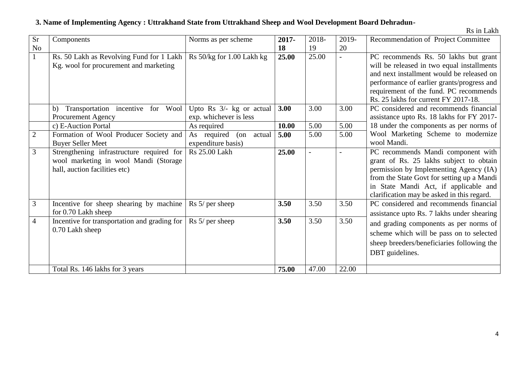# **3. Name of Implementing Agency : Uttrakhand State from Uttrakhand Sheep and Wool Development Board Dehradun-**

|  |  | Rs in Lakh |
|--|--|------------|
|--|--|------------|

| $\overline{Sr}$ | Components                                                         | Norms as per scheme                             | 2017- | 2018- | 2019- | Recommendation of Project Committee                                                  |
|-----------------|--------------------------------------------------------------------|-------------------------------------------------|-------|-------|-------|--------------------------------------------------------------------------------------|
| No              |                                                                    |                                                 | 18    | 19    | 20    |                                                                                      |
| $\mathbf{1}$    | Rs. 50 Lakh as Revolving Fund for 1 Lakh                           | Rs 50/kg for 1.00 Lakh kg                       | 25.00 | 25.00 |       | PC recommends Rs. 50 lakhs but grant                                                 |
|                 | Kg. wool for procurement and marketing                             |                                                 |       |       |       | will be released in two equal installments                                           |
|                 |                                                                    |                                                 |       |       |       | and next installment would be released on                                            |
|                 |                                                                    |                                                 |       |       |       | performance of earlier grants/progress and                                           |
|                 |                                                                    |                                                 |       |       |       | requirement of the fund. PC recommends                                               |
|                 |                                                                    |                                                 |       |       |       | Rs. 25 lakhs for current FY 2017-18.                                                 |
|                 | Transportation incentive for Wool<br>b)                            | Upto Rs $3/-$ kg or actual                      | 3.00  | 3.00  | 3.00  | PC considered and recommends financial                                               |
|                 | <b>Procurement Agency</b>                                          | exp. whichever is less                          |       | 5.00  |       | assistance upto Rs. 18 lakhs for FY 2017-<br>18 under the components as per norms of |
| $\overline{2}$  | c) E-Auction Portal                                                | As required                                     | 10.00 | 5.00  | 5.00  | Wool Marketing Scheme to modernize                                                   |
|                 | Formation of Wool Producer Society and<br><b>Buyer Seller Meet</b> | As required<br>(on actual<br>expenditure basis) | 5.00  |       | 5.00  | wool Mandi.                                                                          |
| $\overline{3}$  | Strengthening infrastructure required for                          | <b>Rs</b> 25.00 Lakh                            | 25.00 |       |       | PC recommends Mandi component with                                                   |
|                 | wool marketing in wool Mandi (Storage                              |                                                 |       |       |       | grant of Rs. 25 lakhs subject to obtain                                              |
|                 | hall, auction facilities etc)                                      |                                                 |       |       |       | permission by Implementing Agency (IA)                                               |
|                 |                                                                    |                                                 |       |       |       | from the State Govt for setting up a Mandi                                           |
|                 |                                                                    |                                                 |       |       |       | in State Mandi Act, if applicable and                                                |
|                 |                                                                    |                                                 |       |       |       | clarification may be asked in this regard.                                           |
| 3               | Incentive for sheep shearing by machine                            | Rs 5/ per sheep                                 | 3.50  | 3.50  | 3.50  | PC considered and recommends financial                                               |
|                 | for 0.70 Lakh sheep                                                |                                                 |       |       |       | assistance upto Rs. 7 lakhs under shearing                                           |
| $\overline{4}$  | Incentive for transportation and grading for                       | $\operatorname{Rs} 5$ / per sheep               | 3.50  | 3.50  | 3.50  | and grading components as per norms of                                               |
|                 | 0.70 Lakh sheep                                                    |                                                 |       |       |       | scheme which will be pass on to selected                                             |
|                 |                                                                    |                                                 |       |       |       | sheep breeders/beneficiaries following the                                           |
|                 |                                                                    |                                                 |       |       |       |                                                                                      |
|                 |                                                                    |                                                 |       |       |       | DBT guidelines.                                                                      |
|                 | Total Rs. 146 lakhs for 3 years                                    |                                                 | 75.00 | 47.00 | 22.00 |                                                                                      |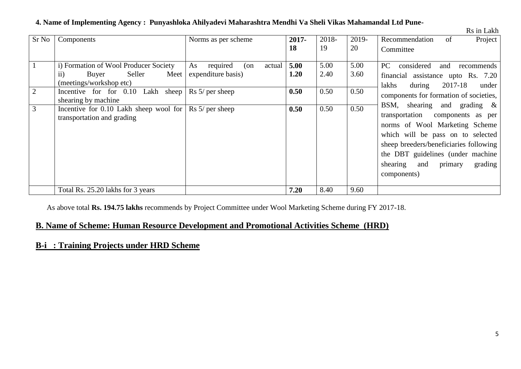| Sr No               | Components                                                                                                                                                                                                                                           | Norms as per scheme                                                                                               | 2017-                        | 2018-                        | 2019-                        | Project<br>Recommendation<br>of                                                                                                                                                                                                                                                                                                                                                                                                                   |
|---------------------|------------------------------------------------------------------------------------------------------------------------------------------------------------------------------------------------------------------------------------------------------|-------------------------------------------------------------------------------------------------------------------|------------------------------|------------------------------|------------------------------|---------------------------------------------------------------------------------------------------------------------------------------------------------------------------------------------------------------------------------------------------------------------------------------------------------------------------------------------------------------------------------------------------------------------------------------------------|
|                     |                                                                                                                                                                                                                                                      |                                                                                                                   | 18                           | 19                           | 20                           | Committee                                                                                                                                                                                                                                                                                                                                                                                                                                         |
| $\overline{2}$<br>3 | i) Formation of Wool Producer Society<br>Seller<br>Meet<br>Buyer<br>$\overline{11}$<br>(meetings/workshop etc)<br>Incentive for for 0.10 Lakh sheep<br>shearing by machine<br>Incentive for $0.10$ Lakh sheep wool for<br>transportation and grading | required<br>As<br>(on<br>actual<br>expenditure basis)<br>$\text{Rs } 5$ / per sheep<br>$\text{Rs } 5$ / per sheep | 5.00<br>1.20<br>0.50<br>0.50 | 5.00<br>2.40<br>0.50<br>0.50 | 5.00<br>3.60<br>0.50<br>0.50 | considered<br>PC.<br>and<br>recommends<br>financial assistance upto Rs. 7.20<br>2017-18<br>lakhs<br>during<br>under<br>components for formation of societies,<br>BSM, shearing and grading $\&$<br>transportation components as per<br>norms of Wool Marketing Scheme<br>which will be pass on to selected<br>sheep breeders/beneficiaries following<br>the DBT guidelines (under machine<br>primary<br>shearing<br>grading<br>and<br>components) |
|                     | Total Rs. 25.20 lakhs for 3 years                                                                                                                                                                                                                    |                                                                                                                   | 7.20                         | 8.40                         | 9.60                         |                                                                                                                                                                                                                                                                                                                                                                                                                                                   |

#### **4. Name of Implementing Agency : Punyashloka Ahilyadevi Maharashtra Mendhi Va Sheli Vikas Mahamandal Ltd Pune-**

Rs in Lakh

As above total **Rs. 194.75 lakhs** recommends by Project Committee under Wool Marketing Scheme during FY 2017-18.

### **B. Name of Scheme: Human Resource Development and Promotional Activities Scheme (HRD)**

#### **B-i : Training Projects under HRD Scheme**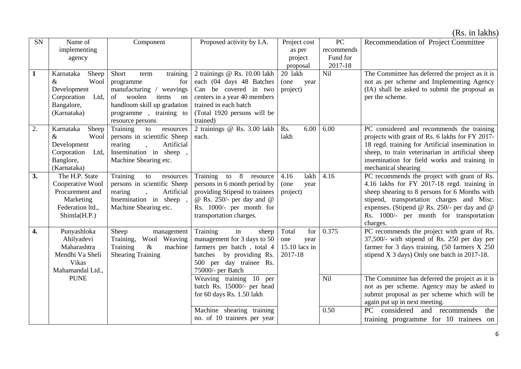(Rs. in lakhs)

| SN           | Name of                            | Component                                                  | Proposed activity by I.A.                           | Project cost  | ${\rm P}{\bf C}$ | Recommendation of Project Committee                                                          |
|--------------|------------------------------------|------------------------------------------------------------|-----------------------------------------------------|---------------|------------------|----------------------------------------------------------------------------------------------|
|              | implementing                       |                                                            |                                                     | as per        | recommends       |                                                                                              |
|              | agency                             |                                                            |                                                     | project       | Fund for         |                                                                                              |
|              |                                    |                                                            |                                                     | proposal      | 2017-18          |                                                                                              |
| $\mathbf{1}$ | Karnataka<br>Sheep                 | Short<br>training<br>term                                  | 2 trainings @ Rs. 10.00 lakh                        | 20 lakh       | Nil              | The Committee has deferred the project as it is                                              |
|              | $\&$<br>Wool                       | for<br>programme                                           | each (04 days 48 Batches                            | (one<br>year  |                  | not as per scheme and Implementing Agency                                                    |
|              | Development                        | manufacturing /<br>weavings                                | Can be covered in two                               | project)      |                  | (IA) shall be asked to submit the proposal as                                                |
|              | Corporation Ltd,                   | of<br>woolen<br>items<br>on                                | centers in a year 40 members                        |               |                  | per the scheme.                                                                              |
|              | Bangalore,                         | handloom skill up gradation                                | trained in each batch                               |               |                  |                                                                                              |
|              | (Karnataka)                        | programme, training to                                     | (Total 1920 persons will be                         |               |                  |                                                                                              |
|              |                                    | resource persons                                           | trained)                                            | 6.00          |                  |                                                                                              |
| 2.           | Karnataka<br>Sheep<br>Wool<br>$\&$ | Training<br>to<br>resources<br>persons in scientific Sheep | 2 trainings @ Rs. 3.00 lakh<br>each.                | Rs.<br>lakh   | 6.00             | PC considered and recommends the training<br>projects with grant of Rs. 6 lakhs for FY 2017- |
|              | Development                        | Artificial<br>rearing                                      |                                                     |               |                  | 18 regd. training for Artificial insemination in                                             |
|              | Corporation Ltd,                   | Insemination in sheep,                                     |                                                     |               |                  | sheep, to train veterinarian in artificial sheep                                             |
|              | Banglore,                          | Machine Shearing etc.                                      |                                                     |               |                  | insemination for field works and training in                                                 |
|              | (Karnataka)                        |                                                            |                                                     |               |                  | mechanical shearing                                                                          |
| 3.           | The H.P. State                     | Training<br>${\rm to}$<br>resources                        | Training to 8<br>resource                           | lakh<br>4.16  | 4.16             | PC recommends the project with grant of Rs.                                                  |
|              | Cooperative Wool                   | persons in scientific Sheep                                | persons in 6 month period by                        | (one<br>year  |                  | 4.16 lakhs for FY 2017-18 regd. training in                                                  |
|              | Procurement and                    | rearing<br>Artificial                                      | providing Stipend to trainees                       | project)      |                  | sheep shearing to 8 persons for 6 Months with                                                |
|              | Marketing                          | Insemination in sheep,                                     | @ Rs. 250/- per day and $@$                         |               |                  | stipend, transportation charges and Misc.                                                    |
|              | Federation ltd.,                   | Machine Shearing etc.                                      | Rs. 1000/- per month for                            |               |                  | expenses. (Stipend @ Rs. 250/- per day and @                                                 |
|              | Shimla(H.P.)                       |                                                            | transportation charges.                             |               |                  | Rs. 1000/- per month for transportation                                                      |
|              |                                    |                                                            |                                                     |               |                  | charges.                                                                                     |
| 4.           | Punyashloka                        | Sheep<br>management                                        | Training<br>in<br>sheep                             | Total<br>for  | 0.375            | PC recommends the project with grant of Rs.                                                  |
|              | Ahilyadevi                         | Wool Weaving<br>Training,                                  | management for 3 days to 50                         | one<br>year   |                  | 37,500/- with stipend of Rs. 250 per day per                                                 |
|              | Maharashtra                        | Training<br>$\&$<br>machine                                | farmers per batch, total 4                          | 15.10 lacs in |                  | farmer for 3 days training. $(50 \text{ farmers } X 250$                                     |
|              | Mendhi Va Sheli<br>Vikas           | <b>Shearing Training</b>                                   | batches by providing Rs.<br>500 per day trainee Rs. | 2017-18       |                  | stipend X 3 days) Only one batch in 2017-18.                                                 |
|              | Mahamandal Ltd.,                   |                                                            | 75000/- per Batch                                   |               |                  |                                                                                              |
|              | <b>PUNE</b>                        |                                                            | Weaving training 10 per                             |               | Nil              | The Committee has deferred the project as it is                                              |
|              |                                    |                                                            | batch Rs. 15000/- per head                          |               |                  | not as per scheme. Agency may be asked to                                                    |
|              |                                    |                                                            | for 60 days Rs. 1.50 lakh                           |               |                  | submit proposal as per scheme which will be                                                  |
|              |                                    |                                                            |                                                     |               |                  | again put up in next meeting.                                                                |
|              |                                    |                                                            | Machine shearing training                           |               | 0.50             | considered and recommends<br>PC<br>the                                                       |
|              |                                    |                                                            | no. of 10 trainees per year                         |               |                  | training programme for 10 trainees on                                                        |
|              |                                    |                                                            |                                                     |               |                  |                                                                                              |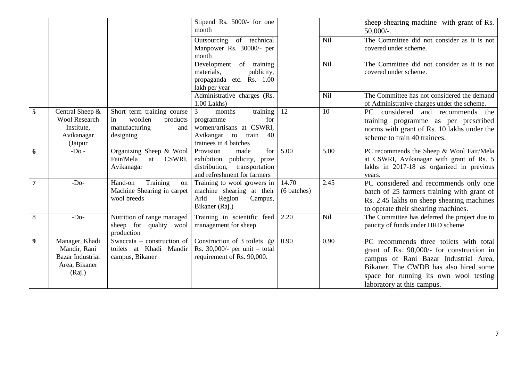|                |                                                                                      |                                                                                              | Stipend Rs. 5000/- for one<br>month                                                                                                |                      |            | sheep shearing machine with grant of Rs.<br>$50,000/$ -.                                                                                                                                                                                      |
|----------------|--------------------------------------------------------------------------------------|----------------------------------------------------------------------------------------------|------------------------------------------------------------------------------------------------------------------------------------|----------------------|------------|-----------------------------------------------------------------------------------------------------------------------------------------------------------------------------------------------------------------------------------------------|
|                |                                                                                      |                                                                                              | Outsourcing of technical<br>Manpower Rs. 30000/- per<br>month                                                                      |                      | Nil        | The Committee did not consider as it is not<br>covered under scheme.                                                                                                                                                                          |
|                |                                                                                      |                                                                                              | Development of training<br>materials,<br>publicity,<br>propaganda etc. Rs. 1.00<br>lakh per year                                   |                      | Nil        | The Committee did not consider as it is not<br>covered under scheme.                                                                                                                                                                          |
|                |                                                                                      |                                                                                              | Administrative charges (Rs.<br>$1.00$ Lakhs)                                                                                       |                      | <b>Nil</b> | The Committee has not considered the demand<br>of Administrative charges under the scheme.                                                                                                                                                    |
| 5              | Central Sheep &<br><b>Wool Research</b><br>Institute,<br>Avikanagar<br>(Jaipur       | Short term training course<br>woollen<br>products<br>in<br>manufacturing<br>and<br>designing | training<br>3<br>months<br>programme<br>for<br>women/artisans at CSWRI,<br>Avikangar<br>to<br>train<br>40<br>trainees in 4 batches | 12                   | 10         | considered and recommends the<br>PC<br>training programme as per prescribed<br>norms with grant of Rs. 10 lakhs under the<br>scheme to train 40 trainees.                                                                                     |
| 6              | $-DO -$                                                                              | Organizing Sheep & Wool<br>Fair/Mela<br>at<br>CSWRI,<br>Avikanagar                           | Provision<br>for<br>made<br>exhibition, publicity, prize<br>distribution, transportation<br>and refreshment for farmers            | 5.00                 | 5.00       | PC recommends the Sheep & Wool Fair/Mela<br>at CSWRI, Avikanagar with grant of Rs. 5<br>lakhs in 2017-18 as organized in previous<br>years.                                                                                                   |
| $\overline{7}$ | $-Do-$                                                                               | Training<br>Hand-on<br>on<br>Machine Shearing in carpet<br>wool breeds                       | Training to wool growers in<br>machine shearing at their<br>Region<br>Arid<br>Campus,<br>Bikaner (Raj.)                            | 14.70<br>(6 batches) | 2.45       | PC considered and recommends only one<br>batch of 25 farmers training with grant of<br>Rs. 2.45 lakhs on sheep shearing machines<br>to operate their shearing machines.                                                                       |
| $8\,$          | $-Do-$                                                                               | Nutrition of range managed<br>sheep for quality wool<br>production                           | Training in scientific feed<br>management for sheep                                                                                | 2.20                 | <b>Nil</b> | The Committee has deferred the project due to<br>paucity of funds under HRD scheme                                                                                                                                                            |
| 9              | Manager, Khadi<br>Mandir, Rani<br><b>Bazar Industrial</b><br>Area, Bikaner<br>(Raj.) | Swaccata – construction of<br>toilets at Khadi Mandir<br>campus, Bikaner                     | Construction of 3 toilets @<br>Rs. $30,000/-$ per unit – total<br>requirement of Rs. 90,000.                                       | 0.90                 | 0.90       | PC recommends three toilets with total<br>grant of Rs. 90,000/- for construction in<br>campus of Rani Bazar Industrial Area,<br>Bikaner. The CWDB has also hired some<br>space for running its own wool testing<br>laboratory at this campus. |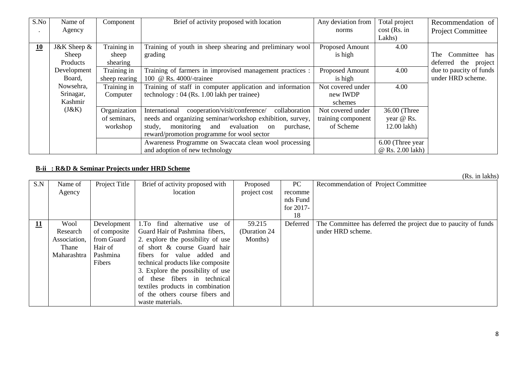| S.No | Name of     | Component     | Brief of activity proposed with location                        | Any deviation from | Total project    | Recommendation of        |
|------|-------------|---------------|-----------------------------------------------------------------|--------------------|------------------|--------------------------|
|      | Agency      |               |                                                                 | norms              | $cost$ (Rs. in   | <b>Project Committee</b> |
|      |             |               |                                                                 |                    | Lakhs)           |                          |
| 10   | J&K Sheep & | Training in   | Training of youth in sheep shearing and preliminary wool        | Proposed Amount    | 4.00             |                          |
|      | Sheep       | sheep         | grading                                                         | is high            |                  | Committee has<br>The     |
|      | Products    | shearing      |                                                                 |                    |                  | deferred the project     |
|      | Development | Training in   | Training of farmers in improvised management practices :        | Proposed Amount    | 4.00             | due to paucity of funds  |
|      | Board,      | sheep rearing | 100 @ Rs. 4000/-trainee                                         | is high            |                  | under HRD scheme.        |
|      | Nowsehra,   | Training in   | Training of staff in computer application and information       | Not covered under  | 4.00             |                          |
|      | Srinagar,   | Computer      | technology : $04$ (Rs. 1.00 lakh per trainee)                   | new IWDP           |                  |                          |
|      | Kashmir     |               |                                                                 | schemes            |                  |                          |
|      | (J&K)       | Organization  | cooperation/visit/conference/<br>International<br>collaboration | Not covered under  | 36.00 (Three     |                          |
|      |             | of seminars,  | needs and organizing seminar/workshop exhibition, survey,       | training component | year @ Rs.       |                          |
|      |             | workshop      | monitoring and evaluation<br>study,<br>purchase,<br>on          | of Scheme          | $12.00$ lakh $)$ |                          |
|      |             |               | reward/promotion programme for wool sector                      |                    |                  |                          |
|      |             |               | Awareness Programme on Swaccata clean wool processing           |                    | 6.00 (Three year |                          |
|      |             |               | and adoption of new technology                                  |                    | @ Rs. 2.00 lakh) |                          |

#### **B-ii : R&D & Seminar Projects under HRD Scheme**

|                           |              |               |                                    |               |           | (Rs. in lakhs)                                                 |
|---------------------------|--------------|---------------|------------------------------------|---------------|-----------|----------------------------------------------------------------|
| S.N                       | Name of      | Project Title | Brief of activity proposed with    | Proposed      | PC        | Recommendation of Project Committee                            |
|                           | Agency       |               | location                           | project cost  | recomme   |                                                                |
|                           |              |               |                                    |               | nds Fund  |                                                                |
|                           |              |               |                                    |               | for 2017- |                                                                |
|                           |              |               |                                    |               | 18        |                                                                |
| $\underline{\mathbf{11}}$ | Wool         | Development   | alternative use of<br>find<br>1.To | 59.215        | Deferred  | The Committee has deferred the project due to paucity of funds |
|                           | Research     | of composite  | Guard Hair of Pashmina fibers,     | (Duration 24) |           | under HRD scheme.                                              |
|                           | Association, | from Guard    | 2. explore the possibility of use  | Months)       |           |                                                                |
|                           | Thane        | Hair of       | of short & course Guard hair       |               |           |                                                                |
|                           | Maharashtra  | Pashmina      | fibers for value added<br>and      |               |           |                                                                |
|                           |              | Fibers        | technical products like composite  |               |           |                                                                |
|                           |              |               | 3. Explore the possibility of use  |               |           |                                                                |
|                           |              |               | of these fibers in technical       |               |           |                                                                |
|                           |              |               | textiles products in combination   |               |           |                                                                |
|                           |              |               | of the others course fibers and    |               |           |                                                                |
|                           |              |               | waste materials.                   |               |           |                                                                |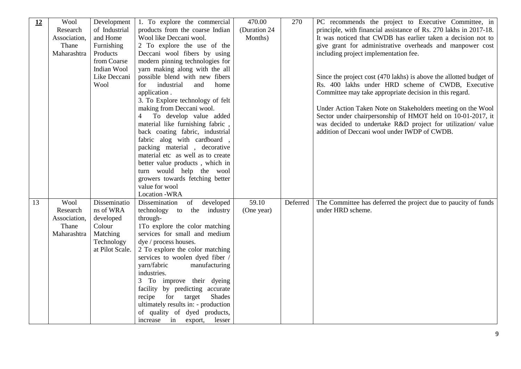| 12 | Wool         | Development     | 1. To explore the commercial             | 470.00       | 270      | PC recommends the project to Executive Committee, in               |
|----|--------------|-----------------|------------------------------------------|--------------|----------|--------------------------------------------------------------------|
|    | Research     | of Industrial   | products from the coarse Indian          | (Duration 24 |          | principle, with financial assistance of Rs. 270 lakhs in 2017-18.  |
|    | Association, | and Home        | Wool like Deccani wool.                  | Months)      |          | It was noticed that CWDB has earlier taken a decision not to       |
|    | Thane        | Furnishing      | 2 To explore the use of the              |              |          | give grant for administrative overheads and manpower cost          |
|    | Maharashtra  | Products        | Deceani wool fibers by using             |              |          | including project implementation fee.                              |
|    |              | from Coarse     | modern pinning technologies for          |              |          |                                                                    |
|    |              | Indian Wool     | yarn making along with the all           |              |          |                                                                    |
|    |              | Like Deccani    | possible blend with new fibers           |              |          | Since the project cost (470 lakhs) is above the allotted budget of |
|    |              | Wool            | for<br>industrial<br>and<br>home         |              |          | Rs. 400 lakhs under HRD scheme of CWDB, Executive                  |
|    |              |                 | application.                             |              |          | Committee may take appropriate decision in this regard.            |
|    |              |                 | 3. To Explore technology of felt         |              |          |                                                                    |
|    |              |                 | making from Deccani wool.                |              |          | Under Action Taken Note on Stakeholders meeting on the Wool        |
|    |              |                 | 4 To develop value added                 |              |          | Sector under chairpersonship of HMOT held on 10-01-2017, it        |
|    |              |                 | material like furnishing fabric,         |              |          | was decided to undertake R&D project for utilization/ value        |
|    |              |                 | back coating fabric, industrial          |              |          | addition of Deccani wool under IWDP of CWDB.                       |
|    |              |                 | fabric alog with cardboard,              |              |          |                                                                    |
|    |              |                 | packing material, decorative             |              |          |                                                                    |
|    |              |                 | material etc as well as to create        |              |          |                                                                    |
|    |              |                 | better value products, which in          |              |          |                                                                    |
|    |              |                 | turn would help the wool                 |              |          |                                                                    |
|    |              |                 | growers towards fetching better          |              |          |                                                                    |
|    |              |                 | value for wool                           |              |          |                                                                    |
|    |              |                 | Location -WRA                            |              |          |                                                                    |
| 13 | Wool         | Disseminatio    | developed<br>Dissemination<br>of         | 59.10        | Deferred | The Committee has deferred the project due to paucity of funds     |
|    | Research     | ns of WRA       | technology to the industry               | (One year)   |          | under HRD scheme.                                                  |
|    | Association, | developed       | through-                                 |              |          |                                                                    |
|    | Thane        | Colour          | 1To explore the color matching           |              |          |                                                                    |
|    | Maharashtra  | Matching        | services for small and medium            |              |          |                                                                    |
|    |              | Technology      | dye / process houses.                    |              |          |                                                                    |
|    |              | at Pilot Scale. | 2 To explore the color matching          |              |          |                                                                    |
|    |              |                 | services to woolen dyed fiber /          |              |          |                                                                    |
|    |              |                 | yarn/fabric<br>manufacturing             |              |          |                                                                    |
|    |              |                 |                                          |              |          |                                                                    |
|    |              |                 | industries.                              |              |          |                                                                    |
|    |              |                 | 3 To improve their dyeing                |              |          |                                                                    |
|    |              |                 | facility by predicting accurate          |              |          |                                                                    |
|    |              |                 | recipe<br>for<br>target<br><b>Shades</b> |              |          |                                                                    |
|    |              |                 | ultimately results in: - production      |              |          |                                                                    |
|    |              |                 | of quality of dyed products,             |              |          |                                                                    |
|    |              |                 | increase in export,<br>lesser            |              |          |                                                                    |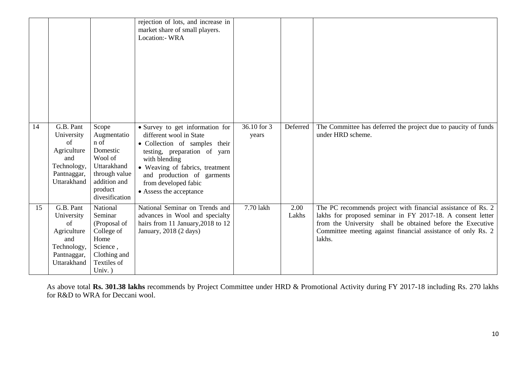|    |                                                                                                  |                                                                                                                                  | rejection of lots, and increase in<br>market share of small players.<br>Location:- WRA                                                                                                                                                                           |                      |               |                                                                                                                                                                                                                                                                    |
|----|--------------------------------------------------------------------------------------------------|----------------------------------------------------------------------------------------------------------------------------------|------------------------------------------------------------------------------------------------------------------------------------------------------------------------------------------------------------------------------------------------------------------|----------------------|---------------|--------------------------------------------------------------------------------------------------------------------------------------------------------------------------------------------------------------------------------------------------------------------|
| 14 | G.B. Pant<br>University<br>of<br>Agriculture<br>and<br>Technology,<br>Pantnaggar,<br>Uttarakhand | Scope<br>Augmentatio<br>n of<br>Domestic<br>Wool of<br>Uttarakhand<br>through value<br>addition and<br>product<br>divesification | • Survey to get information for<br>different wool in State<br>• Collection of samples their<br>testing, preparation of yarn<br>with blending<br>• Weaving of fabrics, treatment<br>and production of garments<br>from developed fabic<br>• Assess the acceptance | 36.10 for 3<br>years | Deferred      | The Committee has deferred the project due to paucity of funds<br>under HRD scheme.                                                                                                                                                                                |
| 15 | G.B. Pant<br>University<br>of<br>Agriculture<br>and<br>Technology,<br>Pantnaggar,<br>Uttarakhand | National<br>Seminar<br>(Proposal of<br>College of<br>Home<br>Science,<br>Clothing and<br>Textiles of<br>Univ.)                   | National Seminar on Trends and<br>advances in Wool and specialty<br>hairs from 11 January, 2018 to 12<br>January, 2018 (2 days)                                                                                                                                  | 7.70 lakh            | 2.00<br>Lakhs | The PC recommends project with financial assistance of Rs. 2<br>lakhs for proposed seminar in FY 2017-18. A consent letter<br>from the University shall be obtained before the Executive<br>Committee meeting against financial assistance of only Rs. 2<br>lakhs. |

As above total **Rs. 301.38 lakhs** recommends by Project Committee under HRD & Promotional Activity during FY 2017-18 including Rs. 270 lakhs for R&D to WRA for Deccani wool.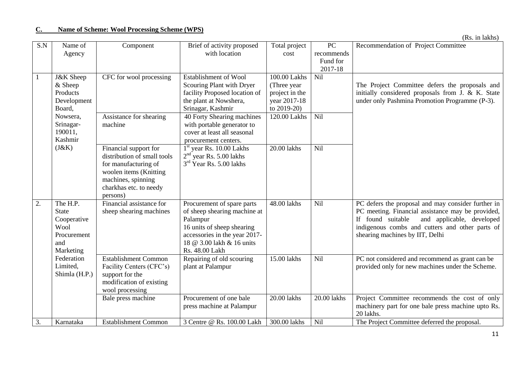|  |  | (Rs. in lakhs) |
|--|--|----------------|
|--|--|----------------|

| S.N | Name of              | Component                   | Brief of activity proposed    | Total project  | PC          | Recommendation of Project Committee                |
|-----|----------------------|-----------------------------|-------------------------------|----------------|-------------|----------------------------------------------------|
|     | Agency               |                             | with location                 | cost           | recommends  |                                                    |
|     |                      |                             |                               |                | Fund for    |                                                    |
|     |                      |                             |                               |                | 2017-18     |                                                    |
|     | <b>J&amp;K</b> Sheep | CFC for wool processing     | <b>Establishment of Wool</b>  | 100.00 Lakhs   | Nil         |                                                    |
|     | $&$ Sheep            |                             | Scouring Plant with Dryer     | (Three year)   |             | The Project Committee defers the proposals and     |
|     | Products             |                             | facility Proposed location of | project in the |             | initially considered proposals from J. & K. State  |
|     | Development          |                             | the plant at Nowshera,        | year 2017-18   |             | under only Pashmina Promotion Programme (P-3).     |
|     | Board,               |                             | Srinagar, Kashmir             | to 2019-20)    |             |                                                    |
|     | Nowsera,             | Assistance for shearing     | 40 Forty Shearing machines    | 120.00 Lakhs   | Nil         |                                                    |
|     | Srinagar-            | machine                     | with portable generator to    |                |             |                                                    |
|     | 190011,              |                             | cover at least all seasonal   |                |             |                                                    |
|     | Kashmir              |                             | procurement centers.          |                |             |                                                    |
|     | (J&K)                | Financial support for       | $1st$ year Rs. 10.00 Lakhs    | 20.00 lakhs    | Nil         |                                                    |
|     |                      | distribution of small tools | $2nd$ year Rs. 5.00 lakhs     |                |             |                                                    |
|     |                      | for manufacturing of        | $3rd$ Year Rs. 5.00 lakhs     |                |             |                                                    |
|     |                      | woolen items (Knitting      |                               |                |             |                                                    |
|     |                      | machines, spinning          |                               |                |             |                                                    |
|     |                      | charkhas etc. to needy      |                               |                |             |                                                    |
|     |                      | persons)                    |                               |                |             |                                                    |
| 2.  | The H.P.             | Financial assistance for    | Procurement of spare parts    | 48.00 lakhs    | Nil         | PC defers the proposal and may consider further in |
|     | <b>State</b>         | sheep shearing machines     | of sheep shearing machine at  |                |             | PC meeting. Financial assistance may be provided,  |
|     | Cooperative          |                             | Palampur                      |                |             | If found suitable<br>and applicable, developed     |
|     | Wool                 |                             | 16 units of sheep shearing    |                |             | indigenous combs and cutters and other parts of    |
|     | Procurement          |                             | accessories in the year 2017- |                |             | shearing machines by IIT, Delhi                    |
|     | and                  |                             | 18 @ 3.00 lakh & 16 units     |                |             |                                                    |
|     | Marketing            |                             | Rs. 48.00 Lakh                |                |             |                                                    |
|     | Federation           | <b>Establishment Common</b> | Repairing of old scouring     | 15.00 lakhs    | <b>Nil</b>  | PC not considered and recommend as grant can be    |
|     | Limited,             | Facility Centers (CFC's)    | plant at Palampur             |                |             | provided only for new machines under the Scheme.   |
|     | Shimla (H.P.)        | support for the             |                               |                |             |                                                    |
|     |                      | modification of existing    |                               |                |             |                                                    |
|     |                      | wool processing             |                               |                |             |                                                    |
|     |                      | Bale press machine          | Procurement of one bale       | 20.00 lakhs    | 20.00 lakhs | Project Committee recommends the cost of only      |
|     |                      |                             | press machine at Palampur     |                |             | machinery part for one bale press machine upto Rs. |
|     |                      |                             |                               |                |             | 20 lakhs.                                          |
| 3.  | Karnataka            | <b>Establishment Common</b> | 3 Centre @ Rs. 100.00 Lakh    | 300.00 lakhs   | Nil         | The Project Committee deferred the proposal.       |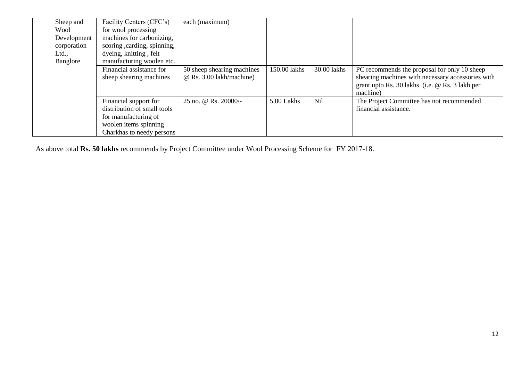| Sheep and<br>Wool<br>Development<br>corporation<br>Ltd.,<br>Banglore | Facility Centers (CFC's)<br>for wool processing<br>machines for carbonizing,<br>scoring, carding, spinning,<br>dyeing, knitting, felt<br>manufacturing woolen etc. | each (maximum)                                                |              |             |                                                                                                                                                                 |
|----------------------------------------------------------------------|--------------------------------------------------------------------------------------------------------------------------------------------------------------------|---------------------------------------------------------------|--------------|-------------|-----------------------------------------------------------------------------------------------------------------------------------------------------------------|
|                                                                      | Financial assistance for<br>sheep shearing machines                                                                                                                | 50 sheep shearing machines<br>$\omega$ Rs. 3.00 lakh/machine) | 150.00 lakhs | 30.00 lakhs | PC recommends the proposal for only 10 sheep<br>shearing machines with necessary accessories with<br>grant upto Rs. 30 lakhs (i.e. @ Rs. 3 lakh per<br>machine) |
|                                                                      | Financial support for<br>distribution of small tools<br>for manufacturing of<br>woolen items spinning<br>Charkhas to needy persons                                 | 25 no. @ Rs. 20000/-                                          | 5.00 Lakhs   | Nil         | The Project Committee has not recommended<br>financial assistance.                                                                                              |

As above total **Rs. 50 lakhs** recommends by Project Committee under Wool Processing Scheme for FY 2017-18.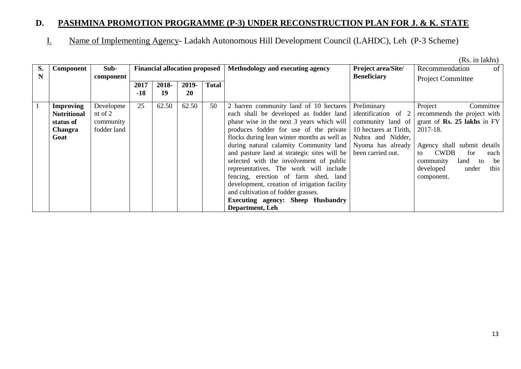# **D. PASHMINA PROMOTION PROGRAMME (P-3) UNDER RECONSTRUCTION PLAN FOR J. & K. STATE**

I. Name of Implementing Agency- Ladakh Autonomous Hill Development Council (LAHDC), Leh (P-3 Scheme)

(Rs. in lakhs)

| S.<br>N | <b>Component</b>                                                       | Sub-<br>component                                  |             | <b>Financial allocation proposed</b> |                    |              | Methodology and executing agency                                                                                                                                                                                                                                                                                                                                                                                                                                                                                                                                                                  | Project area/Site/<br><b>Beneficiary</b>                                                                                                         | Recommendation<br>of                                                                                                                                                                                                                        |
|---------|------------------------------------------------------------------------|----------------------------------------------------|-------------|--------------------------------------|--------------------|--------------|---------------------------------------------------------------------------------------------------------------------------------------------------------------------------------------------------------------------------------------------------------------------------------------------------------------------------------------------------------------------------------------------------------------------------------------------------------------------------------------------------------------------------------------------------------------------------------------------------|--------------------------------------------------------------------------------------------------------------------------------------------------|---------------------------------------------------------------------------------------------------------------------------------------------------------------------------------------------------------------------------------------------|
|         |                                                                        |                                                    | 2017<br>-18 | 2018-<br>19                          | 2019-<br><b>20</b> | <b>Total</b> |                                                                                                                                                                                                                                                                                                                                                                                                                                                                                                                                                                                                   |                                                                                                                                                  | <b>Project Committee</b>                                                                                                                                                                                                                    |
|         | <b>Improving</b><br><b>Nutritional</b><br>status of<br>Changra<br>Goat | Developme<br>nt of $2$<br>community<br>fodder land | 25          | 62.50                                | 62.50              | 50           | 2 barren community land of 10 hectares<br>each shall be developed as fodder land<br>phase wise in the next 3 years which will<br>produces fodder for use of the private<br>flocks during lean winter months as well as<br>during natural calamity Community land<br>and pasture land at strategic sites will be<br>selected with the involvement of public<br>representatives. The work will include<br>fencing, erection of farm shed, land<br>development, creation of irrigation facility<br>and cultivation of fodder grasses.<br><b>Executing agency: Sheep Husbandry</b><br>Department, Leh | Preliminary<br>identification of 2<br>community land of<br>10 hectares at Tirith,<br>Nubra and Nidder,<br>Nyoma has already<br>been carried out. | Project<br>Committee<br>recommends the project with<br>grant of Rs. 25 lakhs in FY<br>2017-18.<br>Agency shall submit details<br><b>CWDB</b><br>for<br>each<br>to<br>community<br>land to<br>be<br>this<br>developed<br>under<br>component. |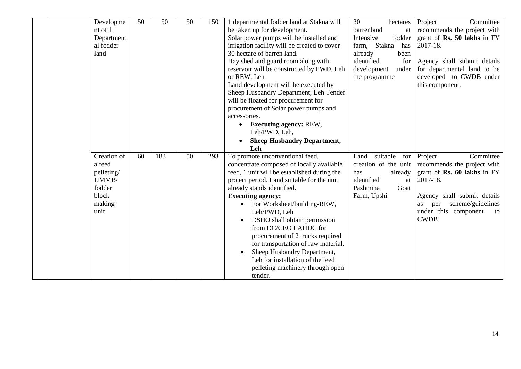| Developme<br>nt of 1<br>Department<br>al fodder<br>land                           | 50 | 50  | 50 | 150 | 1 departmental fodder land at Stakna will<br>be taken up for development.<br>Solar power pumps will be installed and<br>irrigation facility will be created to cover<br>30 hectare of barren land.<br>Hay shed and guard room along with<br>reservoir will be constructed by PWD, Leh<br>or REW, Leh<br>Land development will be executed by<br>Sheep Husbandry Department; Leh Tender<br>will be floated for procurement for<br>procurement of Solar power pumps and<br>accessories.<br><b>Executing agency: REW,</b><br>Leh/PWD, Leh,<br><b>Sheep Husbandry Department,</b><br>Leh | 30<br>hectares<br>barrenland<br>at<br>fodder<br>Intensive<br>Stakna<br>has<br>farm,<br>already<br>been<br>identified<br>for<br>development<br>under<br>the programme | Project<br>Committee<br>recommends the project with<br>grant of <b>Rs. 50 lakhs</b> in FY<br>2017-18.<br>Agency shall submit details<br>for departmental land to be<br>developed to CWDB under<br>this component. |
|-----------------------------------------------------------------------------------|----|-----|----|-----|--------------------------------------------------------------------------------------------------------------------------------------------------------------------------------------------------------------------------------------------------------------------------------------------------------------------------------------------------------------------------------------------------------------------------------------------------------------------------------------------------------------------------------------------------------------------------------------|----------------------------------------------------------------------------------------------------------------------------------------------------------------------|-------------------------------------------------------------------------------------------------------------------------------------------------------------------------------------------------------------------|
| Creation of<br>a feed<br>pelleting/<br>UMMB/<br>fodder<br>block<br>making<br>unit | 60 | 183 | 50 | 293 | To promote unconventional feed,<br>concentrate composed of locally available<br>feed, 1 unit will be established during the<br>project period. Land suitable for the unit<br>already stands identified.<br><b>Executing agency:</b><br>For Worksheet/building-REW,<br>$\bullet$<br>Leh/PWD, Leh<br>DSHO shall obtain permission<br>from DC/CEO LAHDC for<br>procurement of 2 trucks required<br>for transportation of raw material.<br>Sheep Husbandry Department,<br>Leh for installation of the feed<br>pelleting machinery through open<br>tender.                                | suitable<br>Land<br>for<br>creation of the unit<br>already<br>has<br>identified<br>at<br>Pashmina<br>Goat<br>Farm, Upshi                                             | Project<br>Committee<br>recommends the project with<br>grant of Rs. 60 lakhs in FY<br>2017-18.<br>Agency shall submit details<br>scheme/guidelines<br>per<br>as<br>under this component<br>to<br><b>CWDB</b>      |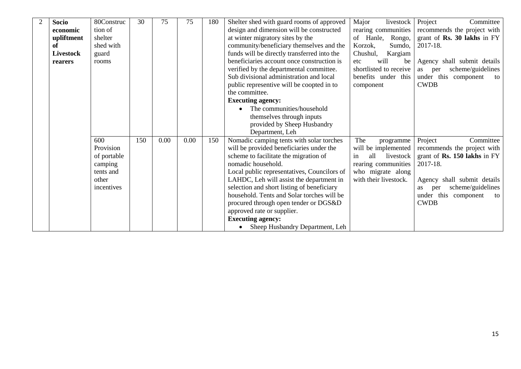| <b>Socio</b>     | 80Construc  | 30  | 75   | 75   | 180 | Shelter shed with guard rooms of approved<br>Major<br>livestock |                        | Committee<br>Project           |
|------------------|-------------|-----|------|------|-----|-----------------------------------------------------------------|------------------------|--------------------------------|
| economic         | tion of     |     |      |      |     | design and dimension will be constructed                        | rearing communities    | recommends the project with    |
| upliftment       | shelter     |     |      |      |     | at winter migratory sites by the                                | of Hanle,<br>Rongo,    | grant of Rs. 30 lakhs in FY    |
| of               | shed with   |     |      |      |     | community/beneficiary themselves and the<br>Korzok,<br>Sumdo,   |                        | 2017-18.                       |
| <b>Livestock</b> | guard       |     |      |      |     | funds will be directly transferred into the                     | Chushul,<br>Kargiam    |                                |
| rearers          | rooms       |     |      |      |     | beneficiaries account once construction is                      | will<br>etc.<br>be     | Agency shall submit details    |
|                  |             |     |      |      |     | verified by the departmental committee.                         | shortlisted to receive | scheme/guidelines<br>as<br>per |
|                  |             |     |      |      |     | Sub divisional administration and local                         | benefits under this    | under this component<br>to     |
|                  |             |     |      |      |     | public representive will be coopted in to                       | component              | <b>CWDB</b>                    |
|                  |             |     |      |      |     | the committee.                                                  |                        |                                |
|                  |             |     |      |      |     | <b>Executing agency:</b>                                        |                        |                                |
|                  |             |     |      |      |     | The communities/household                                       |                        |                                |
|                  |             |     |      |      |     | themselves through inputs                                       |                        |                                |
|                  |             |     |      |      |     | provided by Sheep Husbandry                                     |                        |                                |
|                  |             |     |      |      |     | Department, Leh                                                 |                        |                                |
|                  | 600         | 150 | 0.00 | 0.00 | 150 | Nomadic camping tents with solar torches                        | The<br>programme       | Project<br>Committee           |
|                  | Provision   |     |      |      |     | will be provided beneficiaries under the                        | will be implemented    | recommends the project with    |
|                  | of portable |     |      |      |     | scheme to facilitate the migration of                           | all livestock<br>in    | grant of Rs. 150 lakhs in FY   |
|                  | camping     |     |      |      |     | nomadic household.                                              | rearing communities    | 2017-18.                       |
|                  | tents and   |     |      |      |     | Local public representatives, Councilors of                     | who migrate along      |                                |
|                  | other       |     |      |      |     | LAHDC, Leh will assist the department in                        | with their livestock.  | Agency shall submit details    |
|                  | incentives  |     |      |      |     | selection and short listing of beneficiary                      |                        | scheme/guidelines<br>as<br>per |
|                  |             |     |      |      |     | household. Tents and Solar torches will be                      |                        | under this component<br>to     |
|                  |             |     |      |      |     | procured through open tender or DGS&D                           |                        | <b>CWDB</b>                    |
|                  |             |     |      |      |     | approved rate or supplier.                                      |                        |                                |
|                  |             |     |      |      |     | <b>Executing agency:</b>                                        |                        |                                |
|                  |             |     |      |      |     | Sheep Husbandry Department, Leh                                 |                        |                                |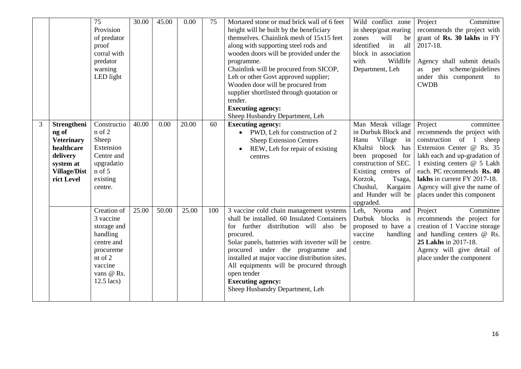|   |                                                                                                                       | 75<br>Provision<br>of predator<br>proof<br>corral with<br>predator<br>warning<br>LED light                                         | 30.00 | 45.00 | 0.00  | 75  | Mortared stone or mud brick wall of 6 feet<br>height will be built by the beneficiary<br>themselves. Chainlink mesh of 15x15 feet<br>along with supporting steel rods and<br>wooden doors will be provided under the<br>programme.<br>Chainlink will be procured from SICOP,<br>Leh or other Govt approved supplier;<br>Wooden door will be procured from<br>supplier shortlisted through quotation or<br>tender.<br><b>Executing agency:</b><br>Sheep Husbandry Department, Leh | Wild conflict zone<br>in sheep/goat rearing<br>will<br>zones<br>be<br>identified<br>in<br>all<br>block in association<br>with<br>Wildlife<br>Department, Leh                                                                           | Project<br>Committee<br>recommends the project with<br>grant of Rs. 30 lakhs in FY<br>2017-18.<br>Agency shall submit details<br>scheme/guidelines<br>as per<br>under this component<br>to<br><b>CWDB</b>                                                                                                   |
|---|-----------------------------------------------------------------------------------------------------------------------|------------------------------------------------------------------------------------------------------------------------------------|-------|-------|-------|-----|----------------------------------------------------------------------------------------------------------------------------------------------------------------------------------------------------------------------------------------------------------------------------------------------------------------------------------------------------------------------------------------------------------------------------------------------------------------------------------|----------------------------------------------------------------------------------------------------------------------------------------------------------------------------------------------------------------------------------------|-------------------------------------------------------------------------------------------------------------------------------------------------------------------------------------------------------------------------------------------------------------------------------------------------------------|
| 3 | Strengtheni<br>ng of<br><b>Veterinary</b><br>healthcare<br>delivery<br>system at<br><b>Village/Dist</b><br>rict Level | Constructio<br>n of 2<br>Sheep<br>Extension<br>Centre and<br>upgradatio<br>$n$ of 5<br>existing<br>centre.                         | 40.00 | 0.00  | 20.00 | 60  | <b>Executing agency:</b><br>PWD, Leh for construction of 2<br>$\bullet$<br><b>Sheep Extension Centres</b><br>REW, Leh for repair of existing<br>centres                                                                                                                                                                                                                                                                                                                          | Man Merak village<br>in Durbuk Block and<br>Village in<br>Hanu<br>Khaltsi block has<br>been proposed for<br>construction of SEC.<br>Existing centres of<br>Korzok,<br>Tsaga,<br>Chushul,<br>Kargaim<br>and Hunder will be<br>upgraded. | Project<br>committee<br>recommends the project with<br>construction of 1<br>sheep<br>Extension Center @ Rs. 35<br>lakh each and up-gradation of<br>1 existing centers @ 5 Lakh<br>each. PC recommends Rs. 40<br>lakhs in current FY 2017-18.<br>Agency will give the name of<br>places under this component |
|   |                                                                                                                       | Creation of<br>3 vaccine<br>storage and<br>handling<br>centre and<br>procureme<br>nt of 2<br>vaccine<br>vans @ Rs.<br>$12.5$ lacs) | 25.00 | 50.00 | 25.00 | 100 | 3 vaccine cold chain management systems<br>shall be installed. 60 Insulated Containers<br>for further distribution will also be<br>procured.<br>Solar panels, batteries with inverter will be<br>procured under the programme and<br>installed at major vaccine distribution sites.<br>All equipments will be procured through<br>open tender<br><b>Executing agency:</b><br>Sheep Husbandry Department, Leh                                                                     | Leh, Nyoma<br>and<br>Durbuk blocks is<br>proposed to have a<br>vaccine<br>handling<br>centre.                                                                                                                                          | Project<br>Committee<br>recommends the project for<br>creation of 1 Vaccine storage<br>and handling centers @ Rs.<br>25 Lakhs in 2017-18.<br>Agency will give detail of<br>place under the component                                                                                                        |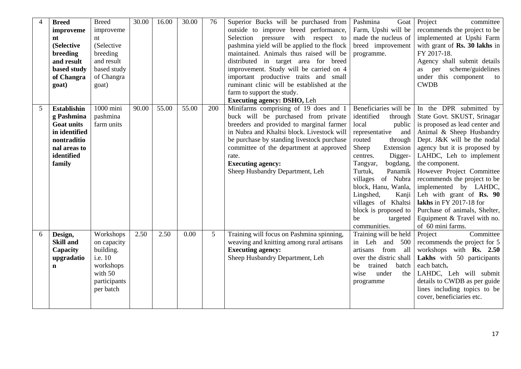| $\overline{4}$ | <b>Breed</b><br>improveme<br>nt<br>(Selective<br>breeding<br>and result<br>based study<br>of Changra<br>goat)                 | <b>Breed</b><br>improveme<br>nt<br>(Selective<br>breeding<br>and result<br>based study<br>of Changra<br>goat) | 30.00 | 16.00 | 30.00 | 76  | Superior Bucks will be purchased from<br>outside to improve breed performance,<br>Selection pressure with respect to<br>pashmina yield will be applied to the flock<br>maintained. Animals thus raised will be<br>distributed in target area for breed<br>improvement. Study will be carried on 4<br>important productive traits and small<br>ruminant clinic will be established at the<br>farm to support the study.<br><b>Executing agency: DSHO, Leh</b> | Pashmina<br>Goat<br>Farm, Upshi will be<br>made the nucleus of<br>breed improvement<br>programme.                                                                                                                                                                                                                                                             | Project<br>committee<br>recommends the project to be<br>implemented at Upshi Farm<br>with grant of Rs. 30 lakhs in<br>FY 2017-18.<br>Agency shall submit details<br>per scheme/guidelines<br>as -<br>under this component<br>to<br><b>CWDB</b>                                                                                                                                                                                                                     |
|----------------|-------------------------------------------------------------------------------------------------------------------------------|---------------------------------------------------------------------------------------------------------------|-------|-------|-------|-----|--------------------------------------------------------------------------------------------------------------------------------------------------------------------------------------------------------------------------------------------------------------------------------------------------------------------------------------------------------------------------------------------------------------------------------------------------------------|---------------------------------------------------------------------------------------------------------------------------------------------------------------------------------------------------------------------------------------------------------------------------------------------------------------------------------------------------------------|--------------------------------------------------------------------------------------------------------------------------------------------------------------------------------------------------------------------------------------------------------------------------------------------------------------------------------------------------------------------------------------------------------------------------------------------------------------------|
| 5              | <b>Establishin</b><br>g Pashmina<br><b>Goat units</b><br>in identified<br>nontraditio<br>nal areas to<br>identified<br>family | 1000 mini<br>pashmina<br>farm units                                                                           | 90.00 | 55.00 | 55.00 | 200 | Minifarms comprising of 19 does and 1<br>buck will be purchased from private<br>breeders and provided to marginal farmer<br>in Nubra and Khaltsi block. Livestock will<br>be purchase by standing livestock purchase<br>committee of the department at approved<br>rate.<br><b>Executing agency:</b><br>Sheep Husbandry Department, Leh                                                                                                                      | Beneficiaries will be<br>identified<br>through<br>local<br>public<br>representative<br>and<br>routed<br>through<br>Sheep<br>Extension<br>Digger-<br>centres.<br>Tangyar,<br>bogdang,<br>Turtuk,<br>Panamik<br>villages of Nubra<br>block, Hanu, Wanla,<br>Lingshed,<br>Kanji<br>villages of Khaltsi<br>block is proposed to<br>be<br>targeted<br>communities. | In the DPR submitted by<br>State Govt. SKUST, Srinagar<br>is proposed as lead center and<br>Animal & Sheep Husbandry<br>Dept. J&K will be the nodal<br>agency but it is proposed by<br>LAHDC, Leh to implement<br>the component.<br>However Project Committee<br>recommends the project to be<br>implemented by LAHDC,<br>Leh with grant of Rs. 90<br>lakhs in FY 2017-18 for<br>Purchase of animals, Shelter,<br>Equipment & Travel with no.<br>of 60 mini farms. |
| 6              | Design,<br><b>Skill and</b><br>Capacity<br>upgradatio<br>$\mathbf n$                                                          | Workshops<br>on capacity<br>building.<br>i.e. 10<br>workshops<br>with 50<br>participants<br>per batch         | 2.50  | 2.50  | 0.00  | 5   | Training will focus on Pashmina spinning,<br>weaving and knitting among rural artisans<br><b>Executing agency:</b><br>Sheep Husbandry Department, Leh                                                                                                                                                                                                                                                                                                        | Training will be held<br>in Leh<br>and 500<br>from<br>artisans<br>all<br>over the distric shall<br>trained<br>batch<br>be<br>under<br>wise<br>the<br>programme                                                                                                                                                                                                | Committee<br>Project<br>recommends the project for 5<br>workshops with Rs. 2.50<br>Lakhs with 50 participants<br>each batch.<br>LAHDC, Leh will submit<br>details to CWDB as per guide<br>lines including topics to be<br>cover, beneficiaries etc.                                                                                                                                                                                                                |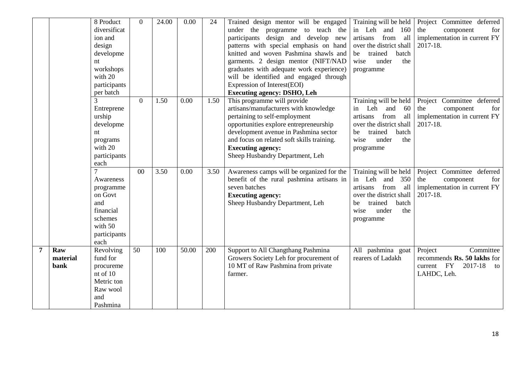|   |                         | 8 Product<br>diversificat<br>ion and<br>design<br>developme<br>nt<br>workshops<br>with 20<br>participants<br>per batch | $\Omega$        | 24.00 | 0.00  | 24   | Trained design mentor will be engaged<br>under the programme to teach the<br>participants design and develop new<br>patterns with special emphasis on hand<br>knitted and woven Pashmina shawls and<br>garments. 2 design mentor (NIFT/NAD<br>graduates with adequate work experience)<br>will be identified and engaged through<br>Expression of Interest(EOI)<br><b>Executing agency: DSHO, Leh</b> | Training will be held<br>in Leh and 160<br>from<br>all<br>artisans<br>over the district shall<br>be<br>trained<br>batch<br>under<br>wise<br>the<br>programme      | Project Committee deferred<br>the<br>component<br>for<br>implementation in current FY<br>2017-18. |
|---|-------------------------|------------------------------------------------------------------------------------------------------------------------|-----------------|-------|-------|------|-------------------------------------------------------------------------------------------------------------------------------------------------------------------------------------------------------------------------------------------------------------------------------------------------------------------------------------------------------------------------------------------------------|-------------------------------------------------------------------------------------------------------------------------------------------------------------------|---------------------------------------------------------------------------------------------------|
|   |                         | Entreprene<br>urship<br>developme<br>nt<br>programs<br>with 20<br>participants<br>each                                 | $\theta$        | 1.50  | 0.00  | 1.50 | This programme will provide<br>artisans/manufacturers with knowledge<br>pertaining to self-employment<br>opportunities explore entrepreneurship<br>development avenue in Pashmina sector<br>and focus on related soft skills training.<br><b>Executing agency:</b><br>Sheep Husbandry Department, Leh                                                                                                 | Training will be held<br>Leh and<br>60<br>in<br>from<br>all<br>artisans<br>over the district shall<br>trained<br>batch<br>be<br>wise<br>under<br>the<br>programme | Project Committee deferred<br>the<br>component<br>for<br>implementation in current FY<br>2017-18. |
|   |                         | Awareness<br>programme<br>on Govt<br>and<br>financial<br>schemes<br>with 50<br>participants<br>each                    | 0 <sub>0</sub>  | 3.50  | 0.00  | 3.50 | Awareness camps will be organized for the<br>benefit of the rural pashmina artisans in<br>seven batches<br><b>Executing agency:</b><br>Sheep Husbandry Department, Leh                                                                                                                                                                                                                                | Training will be held<br>in Leh and 350<br>from<br>artisans<br>all<br>over the district shall<br>trained<br>batch<br>be<br>wise<br>under<br>the<br>programme      | Project Committee deferred<br>the<br>component<br>for<br>implementation in current FY<br>2017-18. |
| 7 | Raw<br>material<br>bank | Revolving<br>fund for<br>procureme<br>nt of 10<br>Metric ton<br>Raw wool<br>and<br>Pashmina                            | $\overline{50}$ | 100   | 50.00 | 200  | Support to All Changthang Pashmina<br>Growers Society Leh for procurement of<br>10 MT of Raw Pashmina from private<br>farmer.                                                                                                                                                                                                                                                                         | All pashmina goat<br>rearers of Ladakh                                                                                                                            | Project<br>Committee<br>recommends Rs. 50 lakhs for<br>current FY<br>2017-18<br>to<br>LAHDC, Leh. |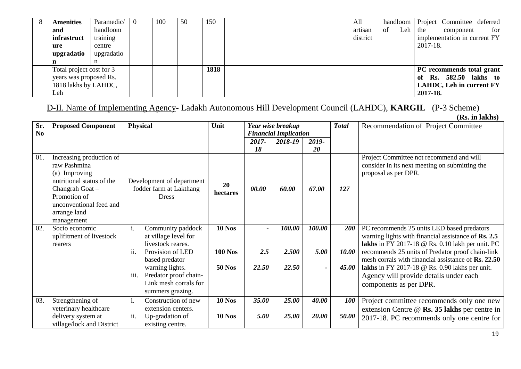| 8 | <b>Amenities</b>         | Paramedic/ | 100 | 50 | 150  | All      |    | handloom |          | Project Committee deferred   |       |
|---|--------------------------|------------|-----|----|------|----------|----|----------|----------|------------------------------|-------|
|   | and                      | handloom   |     |    |      | artisan  | of | Leh      | the      | component                    | for 1 |
|   | infrastruct              | training   |     |    |      | district |    |          |          | implementation in current FY |       |
|   | ure                      | centre     |     |    |      |          |    |          | 2017-18. |                              |       |
|   | upgradatio               | upgradatio |     |    |      |          |    |          |          |                              |       |
|   |                          | n          |     |    |      |          |    |          |          |                              |       |
|   | Total project cost for 3 |            |     |    | 1818 |          |    |          |          | PC recommends total grant    |       |
|   | years was proposed Rs.   |            |     |    |      |          |    |          | -of      | <b>Rs.</b> 582.50 lakhs to   |       |
|   | 1818 lakhs by LAHDC,     |            |     |    |      |          |    |          |          | LAHDC, Leh in current $FY$   |       |
|   | Leh                      |            |     |    |      |          |    |          | 2017-18. |                              |       |

D-II. Name of Implementing Agency- Ladakh Autonomous Hill Development Council (LAHDC), **KARGIL** (P-3 Scheme)

|                       |                                                                                                                                                                                   |      |                                                                                       |                |                |                                                   |                          |              | (Rs. in lakhs)                                                                                                                                                                                                                         |
|-----------------------|-----------------------------------------------------------------------------------------------------------------------------------------------------------------------------------|------|---------------------------------------------------------------------------------------|----------------|----------------|---------------------------------------------------|--------------------------|--------------|----------------------------------------------------------------------------------------------------------------------------------------------------------------------------------------------------------------------------------------|
| Sr.<br>N <sub>0</sub> | <b>Proposed Component</b>                                                                                                                                                         |      | <b>Physical</b>                                                                       | Unit           |                | Year wise breakup<br><b>Financial Implication</b> |                          | <b>Total</b> | Recommendation of Project Committee                                                                                                                                                                                                    |
|                       |                                                                                                                                                                                   |      |                                                                                       |                | 2017-<br>18    | 2018-19                                           | 2019-<br><b>20</b>       |              |                                                                                                                                                                                                                                        |
| 01.                   | Increasing production of<br>raw Pashmina<br>(a) Improving<br>nutritional status of the<br>Changrah Goat-<br>Promotion of<br>unconventional feed and<br>arrange land<br>management |      | Development of department<br>fodder farm at Lakthang<br><b>Dress</b>                  | 20<br>hectares | 00.00          | 60.00                                             | 67.00                    | 127          | Project Committee not recommend and will<br>consider in its next meeting on submitting the<br>proposal as per DPR.                                                                                                                     |
| 02.                   | Socio economic                                                                                                                                                                    | i.   | Community paddock                                                                     | <b>10 Nos</b>  | $\blacksquare$ | 100.00                                            | 100.00                   | <b>200</b>   | PC recommends 25 units LED based predators                                                                                                                                                                                             |
|                       | uplifitment of livestock<br>rearers                                                                                                                                               | ii.  | at village level for<br>livestock reares.<br>Provision of LED<br>based predator       | <b>100 Nos</b> | 2.5            | 2.500                                             | 5.00                     | <i>10.00</i> | warning lights with financial assistance of Rs. 2.5<br>lakhs in FY 2017-18 $\circledcirc$ Rs. 0.10 lakh per unit. PC<br>recommends 25 units of Predator proof chain-link<br>mesh corrals with financial assistance of <b>Rs. 22.50</b> |
|                       |                                                                                                                                                                                   | iii. | warning lights.<br>Predator proof chain-<br>Link mesh corrals for<br>summers grazing. | <b>50 Nos</b>  | 22.50          | 22.50                                             | $\overline{\phantom{0}}$ | 45.00        | lakhs in FY 2017-18 $\circledcirc$ Rs. 0.90 lakhs per unit.<br>Agency will provide details under each<br>components as per DPR.                                                                                                        |
| 03.                   | Strengthening of                                                                                                                                                                  | i.   | Construction of new                                                                   | <b>10 Nos</b>  | 35.00          | 25.00                                             | 40.00                    | <b>100</b>   | Project committee recommends only one new                                                                                                                                                                                              |
|                       | veterinary healthcare<br>delivery system at<br>village/lock and District                                                                                                          | ii.  | extension centers.<br>Up-gradation of<br>existing centre.                             | <b>10 Nos</b>  | 5.00           | 25.00                                             | 20.00                    | 50.00        | extension Centre @ Rs. 35 lakhs per centre in<br>2017-18. PC recommends only one centre for                                                                                                                                            |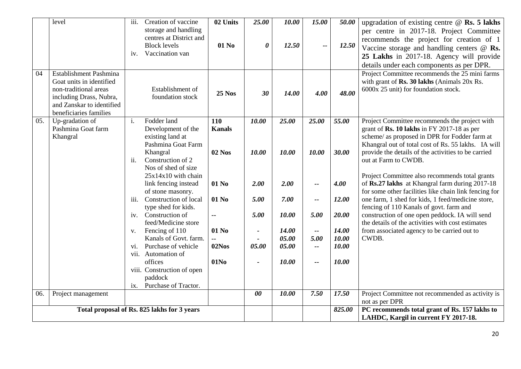|     | level                                     | iii. | Creation of vaccine                         | 02 Units         | 25.00                 | 10.00 | 15.00                    | 50.00  | upgradation of existing centre $\omega$ Rs. 5 lakhs                                                 |
|-----|-------------------------------------------|------|---------------------------------------------|------------------|-----------------------|-------|--------------------------|--------|-----------------------------------------------------------------------------------------------------|
|     |                                           |      | storage and handling                        |                  |                       |       |                          |        | per centre in 2017-18. Project Committee                                                            |
|     |                                           |      | centres at District and                     |                  |                       |       |                          |        | recommends the project for creation of 1                                                            |
|     |                                           |      | <b>Block levels</b>                         | 01 No            | $\boldsymbol{\theta}$ | 12.50 | --                       | 12.50  | Vaccine storage and handling centers $@$ Rs.                                                        |
|     |                                           | iv.  | Vaccination van                             |                  |                       |       |                          |        | 25 Lakhs in 2017-18. Agency will provide                                                            |
|     |                                           |      |                                             |                  |                       |       |                          |        | details under each components as per DPR.                                                           |
| 04  | Establishment Pashmina                    |      |                                             |                  |                       |       |                          |        | Project Committee recommends the 25 mini farms                                                      |
|     | Goat units in identified                  |      |                                             |                  |                       |       |                          |        | with grant of Rs. 30 lakhs (Animals 20x Rs.                                                         |
|     | non-traditional areas                     |      | Establishment of                            | <b>25 Nos</b>    | 30                    | 14.00 | 4.00                     | 48.00  | 6000x 25 unit) for foundation stock.                                                                |
|     | including Drass, Nubra,                   |      | foundation stock                            |                  |                       |       |                          |        |                                                                                                     |
|     | and Zanskar to identified                 |      |                                             |                  |                       |       |                          |        |                                                                                                     |
| 05. | beneficiaries families<br>Up-gradation of | i.   | Fodder land                                 | 110              | 10.00                 | 25.00 | 25.00                    | 55.00  | Project Committee recommends the project with                                                       |
|     | Pashmina Goat farm                        |      | Development of the                          | <b>Kanals</b>    |                       |       |                          |        | grant of Rs. 10 lakhs in FY 2017-18 as per                                                          |
|     | Khangral                                  |      | existing land at                            |                  |                       |       |                          |        | scheme/ as proposed in DPR for Fodder farm at                                                       |
|     |                                           |      | Pashmina Goat Farm                          |                  |                       |       |                          |        | Khangral out of total cost of Rs. 55 lakhs. IA will                                                 |
|     |                                           |      | Khangral                                    | <b>02 Nos</b>    | 10.00                 | 10.00 | 10.00                    | 30.00  | provide the details of the activities to be carried                                                 |
|     |                                           | ii.  | Construction of 2                           |                  |                       |       |                          |        | out at Farm to CWDB.                                                                                |
|     |                                           |      | Nos of shed of size                         |                  |                       |       |                          |        |                                                                                                     |
|     |                                           |      | $25x14x10$ with chain                       |                  |                       |       |                          |        | Project Committee also recommends total grants                                                      |
|     |                                           |      | link fencing instead                        | 01 No            | 2.00                  | 2.00  | --                       | 4.00   | of Rs.27 lakhs at Khangral farm during 2017-18                                                      |
|     |                                           |      | of stone masonry.                           |                  |                       |       |                          |        | for some other facilities like chain link fencing for                                               |
|     |                                           | iii. | Construction of local                       | 01 No            | 5.00                  | 7.00  | $\overline{\phantom{a}}$ | 12.00  | one farm, 1 shed for kids, 1 feed/medicine store,                                                   |
|     |                                           |      | type shed for kids.                         |                  |                       |       |                          |        | fencing of 110 Kanals of govt. farm and                                                             |
|     |                                           | iv.  | Construction of<br>feed/Medicine store      | $\sim$           | 5.00                  | 10.00 | 5.00                     | 20.00  | construction of one open peddock. IA will send<br>the details of the activities with cost estimates |
|     |                                           | V.   | Fencing of 110                              | 01 No            |                       | 14.00 | $\overline{\phantom{a}}$ | 14.00  | from associated agency to be carried out to                                                         |
|     |                                           |      | Kanals of Govt. farm.                       |                  |                       | 05.00 | 5.00                     | 10.00  | CWDB.                                                                                               |
|     |                                           | Vİ.  | Purchase of vehicle                         | 02Nos            | 05.00                 | 05.00 | $\overline{\phantom{a}}$ | 10.00  |                                                                                                     |
|     |                                           |      | vii. Automation of                          |                  |                       |       |                          |        |                                                                                                     |
|     |                                           |      | offices                                     | 01N <sub>0</sub> |                       | 10.00 | $-$                      | 10.00  |                                                                                                     |
|     |                                           |      | viii. Construction of open                  |                  |                       |       |                          |        |                                                                                                     |
|     |                                           |      | paddock                                     |                  |                       |       |                          |        |                                                                                                     |
|     |                                           |      | ix. Purchase of Tractor.                    |                  |                       |       |                          |        |                                                                                                     |
| 06. | Project management                        |      |                                             |                  | 00                    | 10.00 | 7.50                     | 17.50  | Project Committee not recommended as activity is                                                    |
|     |                                           |      |                                             |                  |                       |       |                          |        | not as per DPR                                                                                      |
|     |                                           |      | Total proposal of Rs. 825 lakhs for 3 years |                  |                       |       |                          | 825.00 | PC recommends total grant of Rs. 157 lakhs to                                                       |
|     |                                           |      |                                             |                  |                       |       |                          |        | LAHDC, Kargil in current FY 2017-18.                                                                |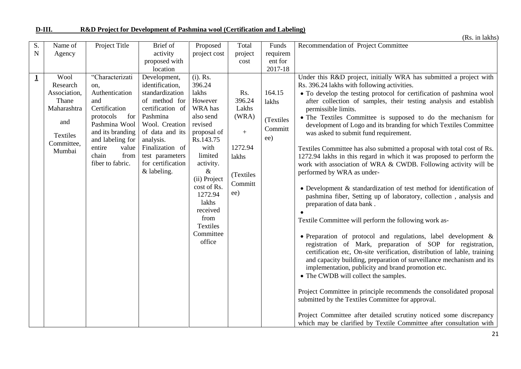|                   |                                                                                                     |                                                                                                                                                                                                       |                                                                                                                                                                                                                                 |                                                                                                                                                                                                                                                                   |                                                                                                        |                                                | (Rs. in lakhs)                                                                                                                                                                                                                                                                                                                                                                                                                                                                                                                                                                                                                                                                                                                                                                                                                                                                                                                                                                                                                                                                                                                                                                                                                                                                                                                                                                                                                                                                                                                                                                                                         |
|-------------------|-----------------------------------------------------------------------------------------------------|-------------------------------------------------------------------------------------------------------------------------------------------------------------------------------------------------------|---------------------------------------------------------------------------------------------------------------------------------------------------------------------------------------------------------------------------------|-------------------------------------------------------------------------------------------------------------------------------------------------------------------------------------------------------------------------------------------------------------------|--------------------------------------------------------------------------------------------------------|------------------------------------------------|------------------------------------------------------------------------------------------------------------------------------------------------------------------------------------------------------------------------------------------------------------------------------------------------------------------------------------------------------------------------------------------------------------------------------------------------------------------------------------------------------------------------------------------------------------------------------------------------------------------------------------------------------------------------------------------------------------------------------------------------------------------------------------------------------------------------------------------------------------------------------------------------------------------------------------------------------------------------------------------------------------------------------------------------------------------------------------------------------------------------------------------------------------------------------------------------------------------------------------------------------------------------------------------------------------------------------------------------------------------------------------------------------------------------------------------------------------------------------------------------------------------------------------------------------------------------------------------------------------------------|
| S.<br>$\mathbf N$ | Name of<br>Agency                                                                                   | Project Title                                                                                                                                                                                         | Brief of<br>activity<br>proposed with<br>location                                                                                                                                                                               | Proposed<br>project cost                                                                                                                                                                                                                                          | Total<br>project<br>cost                                                                               | Funds<br>requirem<br>ent for<br>2017-18        | Recommendation of Project Committee                                                                                                                                                                                                                                                                                                                                                                                                                                                                                                                                                                                                                                                                                                                                                                                                                                                                                                                                                                                                                                                                                                                                                                                                                                                                                                                                                                                                                                                                                                                                                                                    |
| $\mathbf{1}$      | Wool<br>Research<br>Association,<br>Thane<br>Maharashtra<br>and<br>Textiles<br>Committee,<br>Mumbai | "Characterizati<br>on.<br>Authentication<br>and<br>Certification<br>for<br>protocols<br>Pashmina Wool<br>and its branding<br>and labeling for<br>entire<br>value<br>chain<br>from<br>fiber to fabric. | Development,<br>identification,<br>standardization<br>of method for<br>certification of<br>Pashmina<br>Wool. Creation<br>of data and its<br>analysis.<br>Finalization of<br>test parameters<br>for certification<br>& labeling. | $(i)$ . Rs.<br>396.24<br>lakhs<br>However<br>WRA has<br>also send<br>revised<br>proposal of<br>Rs.143.75<br>with<br>limited<br>activity.<br>$\&$<br>(ii) Project<br>cost of Rs.<br>1272.94<br>lakhs<br>received<br>from<br><b>Textiles</b><br>Committee<br>office | Rs.<br>396.24<br>Lakhs<br>(WRA)<br>$\boldsymbol{+}$<br>1272.94<br>lakhs<br>(Textiles<br>Committ<br>ee) | 164.15<br>lakhs<br>(Textiles<br>Committ<br>ee) | Under this R&D project, initially WRA has submitted a project with<br>Rs. 396.24 lakhs with following activities.<br>• To develop the testing protocol for certification of pashmina wool<br>after collection of samples, their testing analysis and establish<br>permissible limits.<br>• The Textiles Committee is supposed to do the mechanism for<br>development of Logo and its branding for which Textiles Committee<br>was asked to submit fund requirement.<br>Textiles Committee has also submitted a proposal with total cost of Rs.<br>1272.94 lakhs in this regard in which it was proposed to perform the<br>work with association of WRA & CWDB. Following activity will be<br>performed by WRA as under-<br>• Development & standardization of test method for identification of<br>pashmina fiber, Setting up of laboratory, collection, analysis and<br>preparation of data bank.<br>Textile Committee will perform the following work as-<br>• Preparation of protocol and regulations, label development &<br>registration of Mark, preparation of SOP for registration,<br>certification etc, On-site verification, distribution of lable, training<br>and capacity building, preparation of surveillance mechanism and its<br>implementation, publicity and brand promotion etc.<br>• The CWDB will collect the samples.<br>Project Committee in principle recommends the consolidated proposal<br>submitted by the Textiles Committee for approval.<br>Project Committee after detailed scrutiny noticed some discrepancy<br>which may be clarified by Textile Committee after consultation with |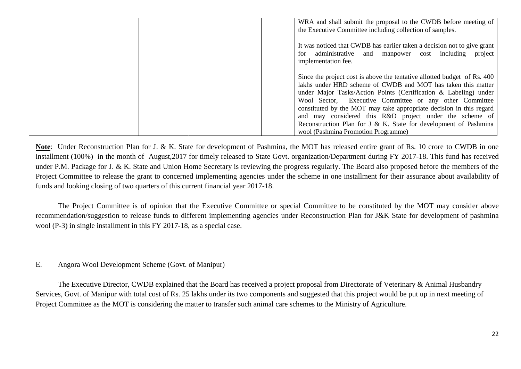|  | WRA and shall submit the proposal to the CWDB before meeting of<br>the Executive Committee including collection of samples.                                                                                                                                                                                                                                                                                                                                                                                          |
|--|----------------------------------------------------------------------------------------------------------------------------------------------------------------------------------------------------------------------------------------------------------------------------------------------------------------------------------------------------------------------------------------------------------------------------------------------------------------------------------------------------------------------|
|  | It was noticed that CWDB has earlier taken a decision not to give grant<br>for administrative and manpower cost including project<br>implementation fee.                                                                                                                                                                                                                                                                                                                                                             |
|  | Since the project cost is above the tentative allotted budget of Rs. 400<br>lakhs under HRD scheme of CWDB and MOT has taken this matter<br>under Major Tasks/Action Points (Certification & Labeling) under<br>Wool Sector, Executive Committee or any other Committee<br>constituted by the MOT may take appropriate decision in this regard<br>and may considered this R&D project under the scheme of<br>Reconstruction Plan for J & K. State for development of Pashmina<br>wool (Pashmina Promotion Programme) |

**Note**: Under Reconstruction Plan for J. & K. State for development of Pashmina, the MOT has released entire grant of Rs. 10 crore to CWDB in one installment (100%) in the month of August,2017 for timely released to State Govt. organization/Department during FY 2017-18. This fund has received under P.M. Package for J. & K. State and Union Home Secretary is reviewing the progress regularly. The Board also proposed before the members of the Project Committee to release the grant to concerned implementing agencies under the scheme in one installment for their assurance about availability of funds and looking closing of two quarters of this current financial year 2017-18.

The Project Committee is of opinion that the Executive Committee or special Committee to be constituted by the MOT may consider above recommendation/suggestion to release funds to different implementing agencies under Reconstruction Plan for J&K State for development of pashmina wool (P-3) in single installment in this FY 2017-18, as a special case.

#### E. Angora Wool Development Scheme (Govt. of Manipur)

The Executive Director, CWDB explained that the Board has received a project proposal from Directorate of Veterinary & Animal Husbandry Services, Govt. of Manipur with total cost of Rs. 25 lakhs under its two components and suggested that this project would be put up in next meeting of Project Committee as the MOT is considering the matter to transfer such animal care schemes to the Ministry of Agriculture.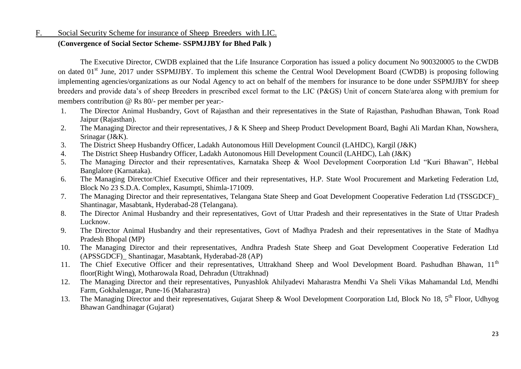# F. Social Security Scheme for insurance of Sheep Breeders with LIC.

#### **(Convergence of Social Sector Scheme- SSPMJJBY for Bhed Palk )**

The Executive Director, CWDB explained that the Life Insurance Corporation has issued a policy document No 900320005 to the CWDB on dated 01<sup>st</sup> June, 2017 under SSPMJJBY. To implement this scheme the Central Wool Development Board (CWDB) is proposing following implementing agencies/organizations as our Nodal Agency to act on behalf of the members for insurance to be done under SSPMJJBY for sheep breeders and provide data's of sheep Breeders in prescribed excel format to the LIC (P&GS) Unit of concern State/area along with premium for members contribution @ Rs 80/- per member per year:-

- 1. The Director Animal Husbandry, Govt of Rajasthan and their representatives in the State of Rajasthan, Pashudhan Bhawan, Tonk Road Jaipur (Rajasthan).
- 2. The Managing Director and their representatives, J & K Sheep and Sheep Product Development Board, Baghi Ali Mardan Khan, Nowshera, Srinagar (J&K).
- 3. The District Sheep Husbandry Officer, Ladakh Autonomous Hill Development Council (LAHDC), Kargil (J&K)
- 4. The District Sheep Husbandry Officer, Ladakh Autonomous Hill Development Council (LAHDC), Lah (J&K)
- 5. The Managing Director and their representatives, Karnataka Sheep & Wool Development Coorporation Ltd "Kuri Bhawan", Hebbal Banglalore (Karnataka).
- 6. The Managing Director/Chief Executive Officer and their representatives, H.P. State Wool Procurement and Marketing Federation Ltd, Block No 23 S.D.A. Complex, Kasumpti, Shimla-171009.
- 7. The Managing Director and their representatives, Telangana State Sheep and Goat Development Cooperative Federation Ltd (TSSGDCF)\_ Shantinagar, Masabtank, Hyderabad-28 (Telangana).
- 8. The Director Animal Husbandry and their representatives, Govt of Uttar Pradesh and their representatives in the State of Uttar Pradesh Lucknow.
- 9. The Director Animal Husbandry and their representatives, Govt of Madhya Pradesh and their representatives in the State of Madhya Pradesh Bhopal (MP)
- 10. The Managing Director and their representatives, Andhra Pradesh State Sheep and Goat Development Cooperative Federation Ltd (APSSGDCF)\_ Shantinagar, Masabtank, Hyderabad-28 (AP)
- 11. The Chief Executive Officer and their representatives. Uttrakhand Sheep and Wool Development Board. Pashudhan Bhawan,  $11<sup>th</sup>$ floor(Right Wing), Motharowala Road, Dehradun (Uttrakhnad)
- 12. The Managing Director and their representatives, Punyashlok Ahilyadevi Maharastra Mendhi Va Sheli Vikas Mahamandal Ltd, Mendhi Farm, Gokhalenagar, Pune-16 (Maharastra)
- 13. The Managing Director and their representatives, Gujarat Sheep & Wool Development Coorporation Ltd, Block No 18, 5<sup>th</sup> Floor, Udhyog Bhawan Gandhinagar (Gujarat)